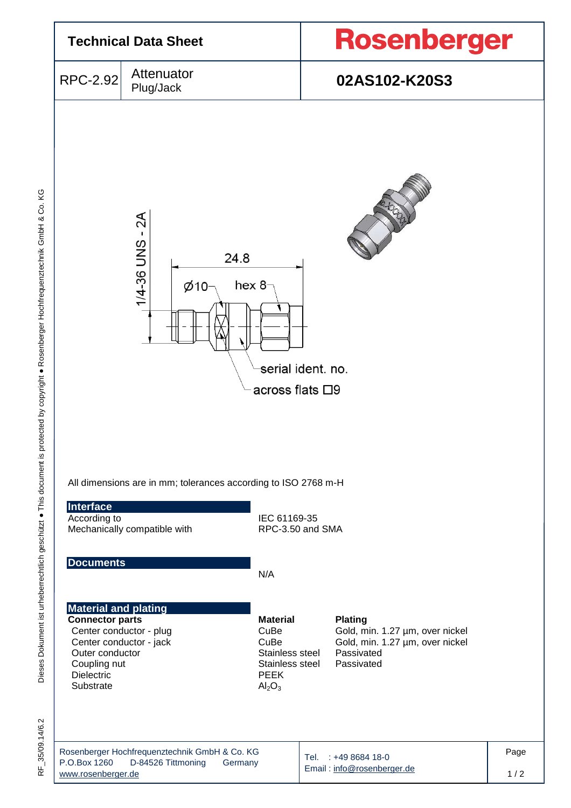

35/09.14/6.2 RF\_35/09.14/6.2 눈